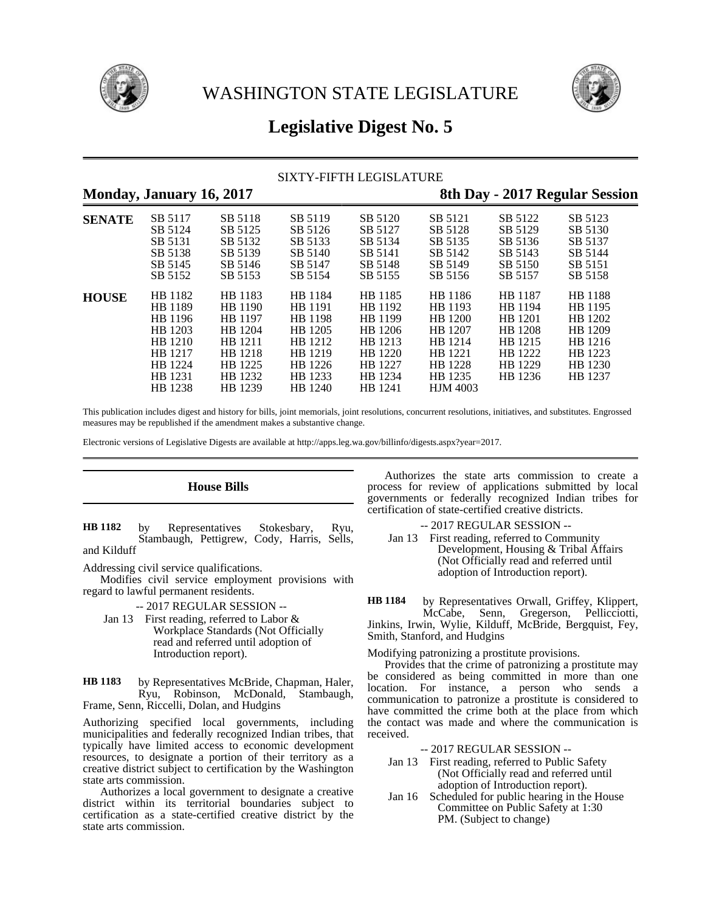



# **Legislative Digest No. 5**

# SIXTY-FIFTH LEGISLATURE

# **Monday, January 16, 2017 8th Day - 2017 Regular Session SENATE** SB 5117 SB 5118 SB 5119 SB 5120 SB 5121 SB 5122 SB 5123 SB 5124 SB 5125 SB 5126 SB 5127 SB 5128 SB 5129 SB 5130 SB 5131 SB 5132 SB 5133 SB 5134 SB 5135 SB 5136 SB 5137

|              | SB 5138 | SB 5139 | SB 5140 | SB 5141 | SB 5142         | SB 5143        | SB 5144        |
|--------------|---------|---------|---------|---------|-----------------|----------------|----------------|
|              | SB 5145 | SB 5146 | SB 5147 | SB 5148 | SB 5149         | SB 5150        | SB 5151        |
|              | SB 5152 | SB 5153 | SB 5154 | SB 5155 | SB 5156         | SB 5157        | SB 5158        |
| <b>HOUSE</b> | HB 1182 | HB 1183 | HB 1184 | HB 1185 | HB 1186         | HB 1187        | <b>HB</b> 1188 |
|              | HB 1189 | HB 1190 | HB 1191 | HB 1192 | HB 1193         | HB 1194        | HB 1195        |
|              | HB 1196 | HB 1197 | HB 1198 | HB 1199 | HB 1200         | HB 1201        | HB 1202        |
|              | HB 1203 | HB 1204 | HB 1205 | HB 1206 | HB 1207         | <b>HB</b> 1208 | HB 1209        |
|              | HB 1210 | HB 1211 | HB 1212 | HB 1213 | HB 1214         | HB 1215        | HB 1216        |
|              | HB 1217 | HB 1218 | HB 1219 | HB 1220 | HB 1221         | HB 1222        | HB 1223        |
|              | HB 1224 | HB 1225 | HB 1226 | HB 1227 | HB 1228         | HB 1229        | HB 1230        |
|              | HB 1231 | HB 1232 | HB 1233 | HB 1234 | HB 1235         | HB 1236        | HB 1237        |
|              | HB 1238 | HB 1239 | HB 1240 | HB 1241 | <b>HJM 4003</b> |                |                |

This publication includes digest and history for bills, joint memorials, joint resolutions, concurrent resolutions, initiatives, and substitutes. Engrossed measures may be republished if the amendment makes a substantive change.

Electronic versions of Legislative Digests are available at http://apps.leg.wa.gov/billinfo/digests.aspx?year=2017.

# **House Bills**

by Representatives Stokesbary, Ryu, Stambaugh, Pettigrew, Cody, Harris, Sells, and Kilduff **HB 1182**

Addressing civil service qualifications.

Modifies civil service employment provisions with regard to lawful permanent residents.

-- 2017 REGULAR SESSION --

Jan 13 First reading, referred to Labor & Workplace Standards (Not Officially read and referred until adoption of Introduction report).

by Representatives McBride, Chapman, Haler, Ryu, Robinson, McDonald, Stambaugh, Frame, Senn, Riccelli, Dolan, and Hudgins **HB 1183**

Authorizing specified local governments, including municipalities and federally recognized Indian tribes, that typically have limited access to economic development resources, to designate a portion of their territory as a creative district subject to certification by the Washington state arts commission.

Authorizes a local government to designate a creative district within its territorial boundaries subject to certification as a state-certified creative district by the state arts commission.

Authorizes the state arts commission to create a process for review of applications submitted by local governments or federally recognized Indian tribes for certification of state-certified creative districts.

- -- 2017 REGULAR SESSION --
- Jan 13 First reading, referred to Community Development, Housing & Tribal Affairs (Not Officially read and referred until adoption of Introduction report).

by Representatives Orwall, Griffey, Klippert, McCabe, Senn, Gregerson, Pellicciotti, Jinkins, Irwin, Wylie, Kilduff, McBride, Bergquist, Fey, Smith, Stanford, and Hudgins **HB 1184**

## Modifying patronizing a prostitute provisions.

Provides that the crime of patronizing a prostitute may be considered as being committed in more than one location. For instance, a person who sends a communication to patronize a prostitute is considered to have committed the crime both at the place from which the contact was made and where the communication is received.

-- 2017 REGULAR SESSION --

- Jan 13 First reading, referred to Public Safety (Not Officially read and referred until adoption of Introduction report).
- Jan 16 Scheduled for public hearing in the House Committee on Public Safety at 1:30 PM. (Subject to change)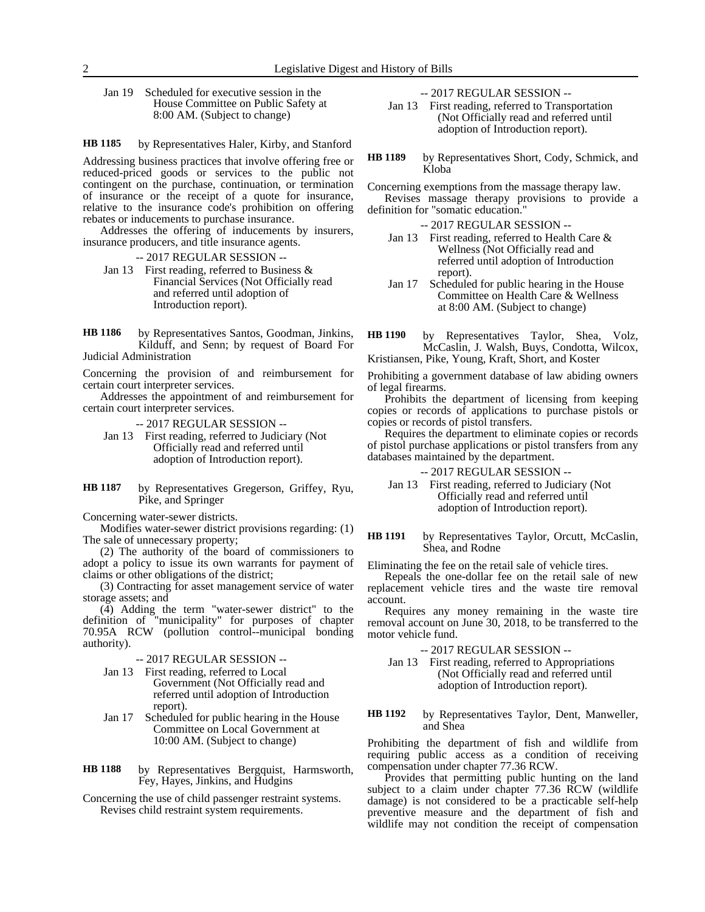Jan 19 Scheduled for executive session in the House Committee on Public Safety at 8:00 AM. (Subject to change)

#### by Representatives Haler, Kirby, and Stanford **HB 1185**

Addressing business practices that involve offering free or reduced-priced goods or services to the public not contingent on the purchase, continuation, or termination of insurance or the receipt of a quote for insurance, relative to the insurance code's prohibition on offering rebates or inducements to purchase insurance.

Addresses the offering of inducements by insurers, insurance producers, and title insurance agents.

- -- 2017 REGULAR SESSION --
- Jan 13 First reading, referred to Business & Financial Services (Not Officially read and referred until adoption of Introduction report).
- by Representatives Santos, Goodman, Jinkins, Kilduff, and Senn; by request of Board For Judicial Administration **HB 1186**

Concerning the provision of and reimbursement for certain court interpreter services.

Addresses the appointment of and reimbursement for certain court interpreter services.

-- 2017 REGULAR SESSION --

- Jan 13 First reading, referred to Judiciary (Not Officially read and referred until adoption of Introduction report).
- by Representatives Gregerson, Griffey, Ryu, Pike, and Springer **HB 1187**

Concerning water-sewer districts.

Modifies water-sewer district provisions regarding: (1) The sale of unnecessary property;

(2) The authority of the board of commissioners to adopt a policy to issue its own warrants for payment of claims or other obligations of the district;

(3) Contracting for asset management service of water storage assets; and

(4) Adding the term "water-sewer district" to the definition of "municipality" for purposes of chapter 70.95A RCW (pollution control--municipal bonding authority).

-- 2017 REGULAR SESSION --

- Jan 13 First reading, referred to Local Government (Not Officially read and referred until adoption of Introduction report).
- Jan 17 Scheduled for public hearing in the House Committee on Local Government at 10:00 AM. (Subject to change)
- by Representatives Bergquist, Harmsworth, Fey, Hayes, Jinkins, and Hudgins **HB 1188**
- Concerning the use of child passenger restraint systems. Revises child restraint system requirements.

-- 2017 REGULAR SESSION --

- Jan 13 First reading, referred to Transportation (Not Officially read and referred until adoption of Introduction report).
- by Representatives Short, Cody, Schmick, and Kloba **HB 1189**

Concerning exemptions from the massage therapy law. Revises massage therapy provisions to provide a definition for "somatic education."

- -- 2017 REGULAR SESSION -- Jan 13 First reading, referred to Health Care & Wellness (Not Officially read and
- referred until adoption of Introduction report). Jan 17 Scheduled for public hearing in the House
- Committee on Health Care & Wellness at 8:00 AM. (Subject to change)
- by Representatives Taylor, Shea, Volz, McCaslin, J. Walsh, Buys, Condotta, Wilcox, Kristiansen, Pike, Young, Kraft, Short, and Koster **HB 1190**
- Prohibiting a government database of law abiding owners of legal firearms.

Prohibits the department of licensing from keeping copies or records of applications to purchase pistols or copies or records of pistol transfers.

Requires the department to eliminate copies or records of pistol purchase applications or pistol transfers from any databases maintained by the department.

-- 2017 REGULAR SESSION --

- Jan 13 First reading, referred to Judiciary (Not Officially read and referred until adoption of Introduction report).
- by Representatives Taylor, Orcutt, McCaslin, Shea, and Rodne **HB 1191**

Eliminating the fee on the retail sale of vehicle tires.

Repeals the one-dollar fee on the retail sale of new replacement vehicle tires and the waste tire removal account.

Requires any money remaining in the waste tire removal account on June 30, 2018, to be transferred to the motor vehicle fund.

-- 2017 REGULAR SESSION --

- Jan 13 First reading, referred to Appropriations (Not Officially read and referred until adoption of Introduction report).
- by Representatives Taylor, Dent, Manweller, and Shea **HB 1192**

Prohibiting the department of fish and wildlife from requiring public access as a condition of receiving compensation under chapter 77.36 RCW.

Provides that permitting public hunting on the land subject to a claim under chapter 77.36 RCW (wildlife damage) is not considered to be a practicable self-help preventive measure and the department of fish and wildlife may not condition the receipt of compensation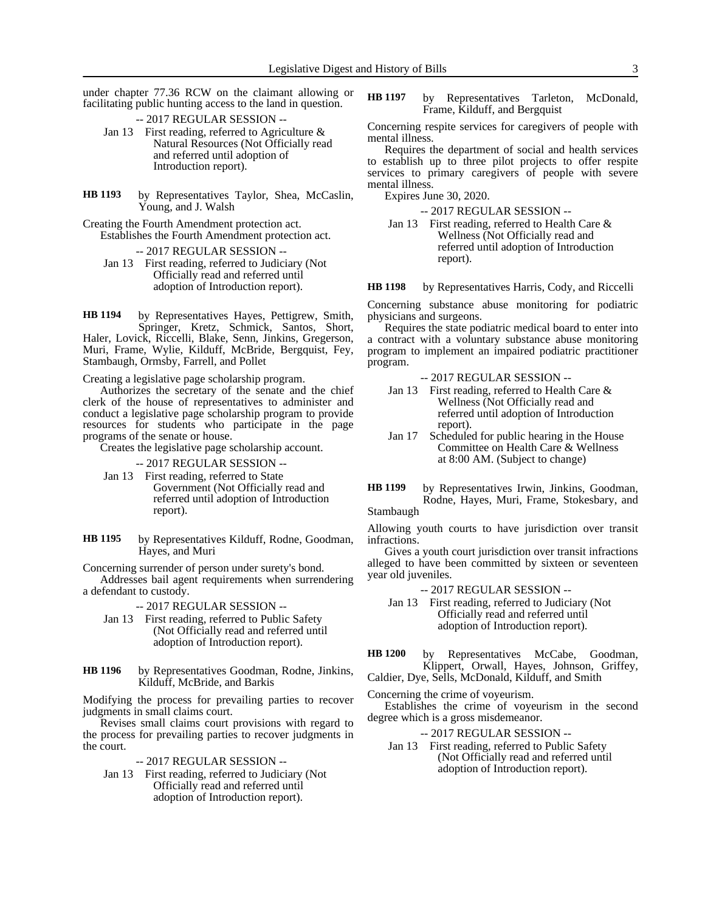under chapter 77.36 RCW on the claimant allowing or facilitating public hunting access to the land in question.

-- 2017 REGULAR SESSION --

- Jan 13 First reading, referred to Agriculture & Natural Resources (Not Officially read and referred until adoption of Introduction report).
- by Representatives Taylor, Shea, McCaslin, Young, and J. Walsh **HB 1193**
- Creating the Fourth Amendment protection act. Establishes the Fourth Amendment protection act.

-- 2017 REGULAR SESSION --

Jan 13 First reading, referred to Judiciary (Not Officially read and referred until adoption of Introduction report).

by Representatives Hayes, Pettigrew, Smith, Springer, Kretz, Schmick, Santos, Short, Haler, Lovick, Riccelli, Blake, Senn, Jinkins, Gregerson, Muri, Frame, Wylie, Kilduff, McBride, Bergquist, Fey, Stambaugh, Ormsby, Farrell, and Pollet **HB 1194**

Creating a legislative page scholarship program.

Authorizes the secretary of the senate and the chief clerk of the house of representatives to administer and conduct a legislative page scholarship program to provide resources for students who participate in the page programs of the senate or house.

Creates the legislative page scholarship account.

- -- 2017 REGULAR SESSION --
- Jan 13 First reading, referred to State Government (Not Officially read and referred until adoption of Introduction report).
- by Representatives Kilduff, Rodne, Goodman, Hayes, and Muri **HB 1195**

Concerning surrender of person under surety's bond. Addresses bail agent requirements when surrendering a defendant to custody.

-- 2017 REGULAR SESSION --

- Jan 13 First reading, referred to Public Safety (Not Officially read and referred until adoption of Introduction report).
- by Representatives Goodman, Rodne, Jinkins, Kilduff, McBride, and Barkis **HB 1196**

Modifying the process for prevailing parties to recover judgments in small claims court.

Revises small claims court provisions with regard to the process for prevailing parties to recover judgments in the court.

-- 2017 REGULAR SESSION --

Jan 13 First reading, referred to Judiciary (Not Officially read and referred until adoption of Introduction report).

by Representatives Tarleton, McDonald, Frame, Kilduff, and Bergquist **HB 1197**

Concerning respite services for caregivers of people with mental illness.

Requires the department of social and health services to establish up to three pilot projects to offer respite services to primary caregivers of people with severe mental illness.

Expires June 30, 2020.

-- 2017 REGULAR SESSION --

Jan 13 First reading, referred to Health Care & Wellness (Not Officially read and referred until adoption of Introduction report).

by Representatives Harris, Cody, and Riccelli **HB 1198**

Concerning substance abuse monitoring for podiatric physicians and surgeons.

Requires the state podiatric medical board to enter into a contract with a voluntary substance abuse monitoring program to implement an impaired podiatric practitioner program.

-- 2017 REGULAR SESSION --

- Jan 13 First reading, referred to Health Care & Wellness (Not Officially read and referred until adoption of Introduction report).
- Jan 17 Scheduled for public hearing in the House Committee on Health Care & Wellness at 8:00 AM. (Subject to change)

by Representatives Irwin, Jinkins, Goodman, Rodne, Hayes, Muri, Frame, Stokesbary, and Stambaugh **HB 1199**

Allowing youth courts to have jurisdiction over transit infractions.

Gives a youth court jurisdiction over transit infractions alleged to have been committed by sixteen or seventeen year old juveniles.

-- 2017 REGULAR SESSION --

- Jan 13 First reading, referred to Judiciary (Not Officially read and referred until adoption of Introduction report).
- by Representatives McCabe, Goodman, Klippert, Orwall, Hayes, Johnson, Griffey, **HB 1200**

Caldier, Dye, Sells, McDonald, Kilduff, and Smith

Concerning the crime of voyeurism.

Establishes the crime of voyeurism in the second degree which is a gross misdemeanor.

- -- 2017 REGULAR SESSION --
- Jan 13 First reading, referred to Public Safety (Not Officially read and referred until adoption of Introduction report).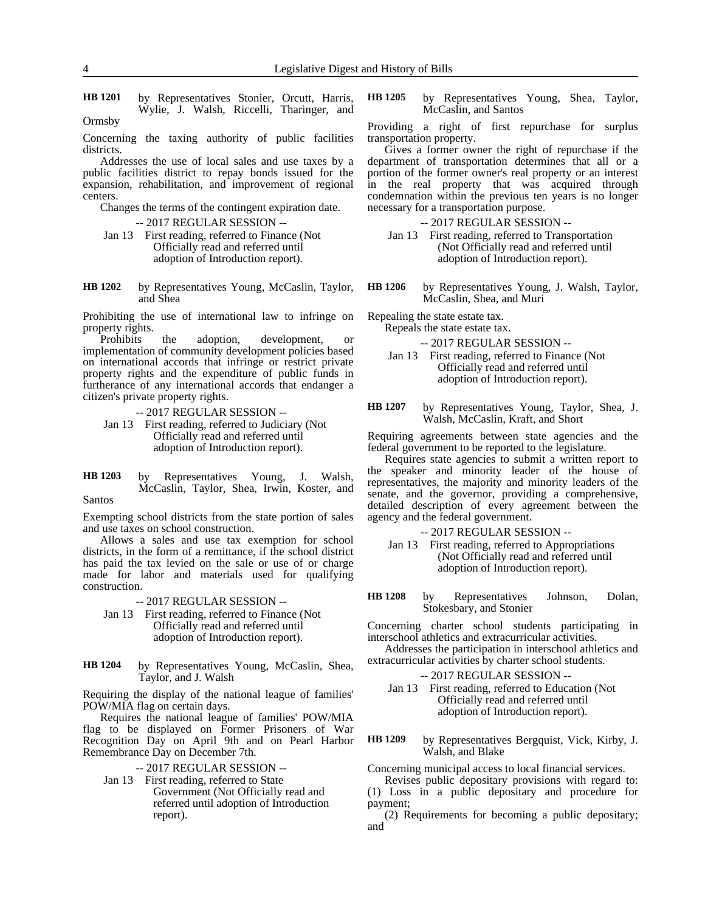by Representatives Stonier, Orcutt, Harris, Wylie, J. Walsh, Riccelli, Tharinger, and **HB 1201**

Ormsby

Concerning the taxing authority of public facilities districts.

Addresses the use of local sales and use taxes by a public facilities district to repay bonds issued for the expansion, rehabilitation, and improvement of regional centers.

Changes the terms of the contingent expiration date.

- -- 2017 REGULAR SESSION --
- Jan 13 First reading, referred to Finance (Not Officially read and referred until adoption of Introduction report).
- by Representatives Young, McCaslin, Taylor, and Shea **HB 1202**

Prohibiting the use of international law to infringe on property rights.

Prohibits the adoption, development, or implementation of community development policies based on international accords that infringe or restrict private property rights and the expenditure of public funds in furtherance of any international accords that endanger a citizen's private property rights.

- -- 2017 REGULAR SESSION -- Jan 13 First reading, referred to Judiciary (Not Officially read and referred until adoption of Introduction report).
- by Representatives Young, J. Walsh, McCaslin, Taylor, Shea, Irwin, Koster, and Santos **HB 1203**

Exempting school districts from the state portion of sales and use taxes on school construction.

Allows a sales and use tax exemption for school districts, in the form of a remittance, if the school district has paid the tax levied on the sale or use of or charge made for labor and materials used for qualifying construction.

-- 2017 REGULAR SESSION --

- Jan 13 First reading, referred to Finance (Not Officially read and referred until adoption of Introduction report).
- by Representatives Young, McCaslin, Shea, Taylor, and J. Walsh **HB 1204**

Requiring the display of the national league of families' POW/MIA flag on certain days.

Requires the national league of families' POW/MIA flag to be displayed on Former Prisoners of War Recognition Day on April 9th and on Pearl Harbor Remembrance Day on December 7th.

- -- 2017 REGULAR SESSION --
- Jan 13 First reading, referred to State Government (Not Officially read and referred until adoption of Introduction report).

by Representatives Young, Shea, Taylor, McCaslin, and Santos **HB 1205**

Providing a right of first repurchase for surplus transportation property.

Gives a former owner the right of repurchase if the department of transportation determines that all or a portion of the former owner's real property or an interest in the real property that was acquired through condemnation within the previous ten years is no longer necessary for a transportation purpose.

-- 2017 REGULAR SESSION --

- Jan 13 First reading, referred to Transportation (Not Officially read and referred until adoption of Introduction report).
- by Representatives Young, J. Walsh, Taylor, McCaslin, Shea, and Muri **HB 1206**

Repealing the state estate tax. Repeals the state estate tax.

-- 2017 REGULAR SESSION --

Jan 13 First reading, referred to Finance (Not Officially read and referred until adoption of Introduction report).

by Representatives Young, Taylor, Shea, J. Walsh, McCaslin, Kraft, and Short **HB 1207**

Requiring agreements between state agencies and the federal government to be reported to the legislature.

Requires state agencies to submit a written report to the speaker and minority leader of the house of representatives, the majority and minority leaders of the senate, and the governor, providing a comprehensive, detailed description of every agreement between the agency and the federal government.

- -- 2017 REGULAR SESSION --
- Jan 13 First reading, referred to Appropriations (Not Officially read and referred until adoption of Introduction report).
- by Representatives Johnson, Dolan, Stokesbary, and Stonier **HB 1208**

Concerning charter school students participating in interschool athletics and extracurricular activities.

Addresses the participation in interschool athletics and extracurricular activities by charter school students.

-- 2017 REGULAR SESSION --

- Jan 13 First reading, referred to Education (Not Officially read and referred until adoption of Introduction report).
- by Representatives Bergquist, Vick, Kirby, J. Walsh, and Blake **HB 1209**

Concerning municipal access to local financial services.

Revises public depositary provisions with regard to: (1) Loss in a public depositary and procedure for payment;

(2) Requirements for becoming a public depositary; and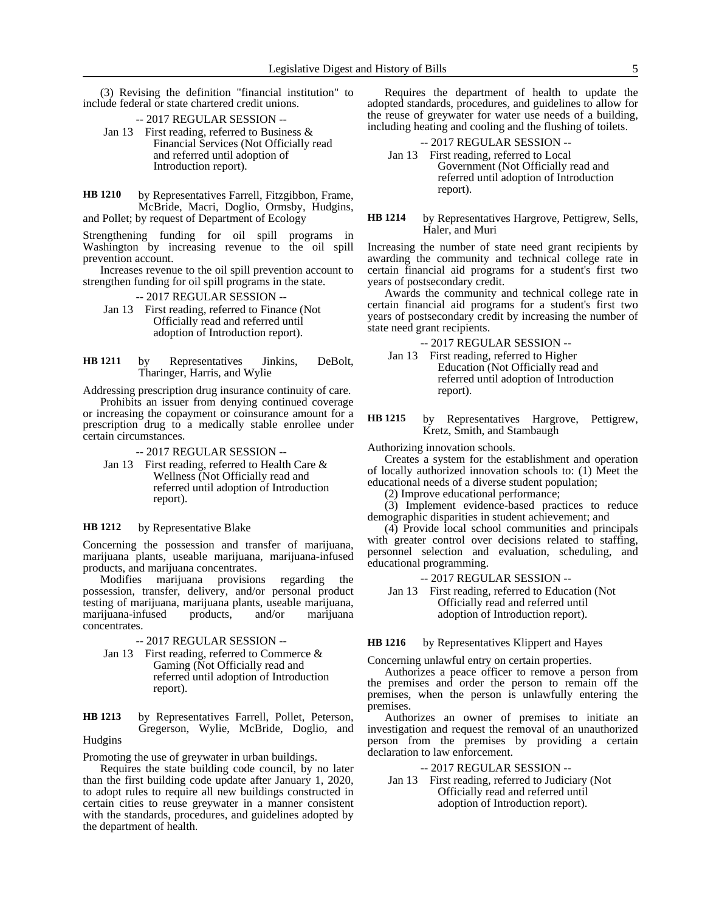(3) Revising the definition "financial institution" to include federal or state chartered credit unions.

- -- 2017 REGULAR SESSION --
- Jan 13 First reading, referred to Business & Financial Services (Not Officially read and referred until adoption of Introduction report).
- by Representatives Farrell, Fitzgibbon, Frame, McBride, Macri, Doglio, Ormsby, Hudgins, and Pollet; by request of Department of Ecology **HB 1210**

Strengthening funding for oil spill programs in Washington by increasing revenue to the oil spill prevention account.

Increases revenue to the oil spill prevention account to strengthen funding for oil spill programs in the state.

-- 2017 REGULAR SESSION --

Jan 13 First reading, referred to Finance (Not Officially read and referred until adoption of Introduction report).

by Representatives Jinkins, DeBolt, Tharinger, Harris, and Wylie **HB 1211**

Addressing prescription drug insurance continuity of care.

Prohibits an issuer from denying continued coverage or increasing the copayment or coinsurance amount for a prescription drug to a medically stable enrollee under certain circumstances.

-- 2017 REGULAR SESSION --

Jan 13 First reading, referred to Health Care & Wellness (Not Officially read and referred until adoption of Introduction report).

#### by Representative Blake **HB 1212**

Concerning the possession and transfer of marijuana, marijuana plants, useable marijuana, marijuana-infused products, and marijuana concentrates.

Modifies marijuana provisions regarding the possession, transfer, delivery, and/or personal product testing of marijuana, marijuana plants, useable marijuana, marijuana-infused products, and/or marijuana concentrates.

-- 2017 REGULAR SESSION --

Jan 13 First reading, referred to Commerce & Gaming (Not Officially read and referred until adoption of Introduction report).

by Representatives Farrell, Pollet, Peterson, Gregerson, Wylie, McBride, Doglio, and **HB 1213**

# Hudgins

Promoting the use of greywater in urban buildings.

Requires the state building code council, by no later than the first building code update after January 1, 2020, to adopt rules to require all new buildings constructed in certain cities to reuse greywater in a manner consistent with the standards, procedures, and guidelines adopted by the department of health.

Requires the department of health to update the adopted standards, procedures, and guidelines to allow for the reuse of greywater for water use needs of a building, including heating and cooling and the flushing of toilets.

### -- 2017 REGULAR SESSION --

Jan 13 First reading, referred to Local Government (Not Officially read and referred until adoption of Introduction report).

### by Representatives Hargrove, Pettigrew, Sells, Haler, and Muri **HB 1214**

Increasing the number of state need grant recipients by awarding the community and technical college rate in certain financial aid programs for a student's first two years of postsecondary credit.

Awards the community and technical college rate in certain financial aid programs for a student's first two years of postsecondary credit by increasing the number of state need grant recipients.

-- 2017 REGULAR SESSION --

Jan 13 First reading, referred to Higher Education (Not Officially read and referred until adoption of Introduction report).

by Representatives Hargrove, Pettigrew, Kretz, Smith, and Stambaugh **HB 1215**

Authorizing innovation schools.

Creates a system for the establishment and operation of locally authorized innovation schools to: (1) Meet the educational needs of a diverse student population;

(2) Improve educational performance;

(3) Implement evidence-based practices to reduce demographic disparities in student achievement; and

(4) Provide local school communities and principals with greater control over decisions related to staffing, personnel selection and evaluation, scheduling, and educational programming.

-- 2017 REGULAR SESSION --

Jan 13 First reading, referred to Education (Not Officially read and referred until adoption of Introduction report).

by Representatives Klippert and Hayes **HB 1216**

Concerning unlawful entry on certain properties.

Authorizes a peace officer to remove a person from the premises and order the person to remain off the premises, when the person is unlawfully entering the premises.

Authorizes an owner of premises to initiate an investigation and request the removal of an unauthorized person from the premises by providing a certain declaration to law enforcement.

## -- 2017 REGULAR SESSION --

Jan 13 First reading, referred to Judiciary (Not Officially read and referred until adoption of Introduction report).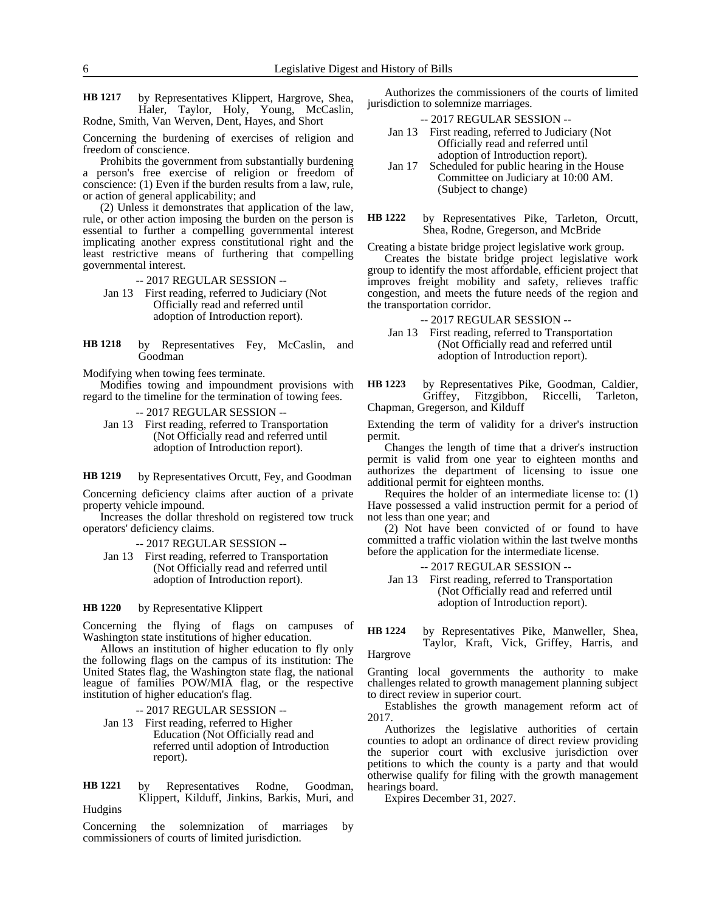by Representatives Klippert, Hargrove, Shea, Haler, Taylor, Holy, Young, McCaslin, Rodne, Smith, Van Werven, Dent, Hayes, and Short **HB 1217**

Concerning the burdening of exercises of religion and freedom of conscience.

Prohibits the government from substantially burdening a person's free exercise of religion or freedom of conscience: (1) Even if the burden results from a law, rule, or action of general applicability; and

(2) Unless it demonstrates that application of the law, rule, or other action imposing the burden on the person is essential to further a compelling governmental interest implicating another express constitutional right and the least restrictive means of furthering that compelling governmental interest.

-- 2017 REGULAR SESSION --

Jan 13 First reading, referred to Judiciary (Not Officially read and referred until adoption of Introduction report).

by Representatives Fey, McCaslin, and Goodman **HB 1218**

Modifying when towing fees terminate.

Modifies towing and impoundment provisions with regard to the timeline for the termination of towing fees.

-- 2017 REGULAR SESSION --

Jan 13 First reading, referred to Transportation (Not Officially read and referred until adoption of Introduction report).

by Representatives Orcutt, Fey, and Goodman **HB 1219**

Concerning deficiency claims after auction of a private property vehicle impound.

Increases the dollar threshold on registered tow truck operators' deficiency claims.

-- 2017 REGULAR SESSION --

Jan 13 First reading, referred to Transportation (Not Officially read and referred until adoption of Introduction report).

### by Representative Klippert **HB 1220**

Concerning the flying of flags on campuses of Washington state institutions of higher education.

Allows an institution of higher education to fly only the following flags on the campus of its institution: The United States flag, the Washington state flag, the national league of families POW/MIA flag, or the respective institution of higher education's flag.

-- 2017 REGULAR SESSION --

Jan 13 First reading, referred to Higher Education (Not Officially read and referred until adoption of Introduction report).

by Representatives Rodne, Goodman, Klippert, Kilduff, Jinkins, Barkis, Muri, and Hudgins **HB 1221**

Concerning the solemnization of marriages by commissioners of courts of limited jurisdiction.

Authorizes the commissioners of the courts of limited jurisdiction to solemnize marriages.

- -- 2017 REGULAR SESSION --
- Jan 13 First reading, referred to Judiciary (Not Officially read and referred until adoption of Introduction report).
- Jan 17 Scheduled for public hearing in the House Committee on Judiciary at 10:00 AM. (Subject to change)
- by Representatives Pike, Tarleton, Orcutt, Shea, Rodne, Gregerson, and McBride **HB 1222**

Creating a bistate bridge project legislative work group.

Creates the bistate bridge project legislative work group to identify the most affordable, efficient project that improves freight mobility and safety, relieves traffic congestion, and meets the future needs of the region and the transportation corridor.

-- 2017 REGULAR SESSION --

Jan 13 First reading, referred to Transportation (Not Officially read and referred until adoption of Introduction report).

by Representatives Pike, Goodman, Caldier, Griffey, Fitzgibbon, Riccelli, Tarleton, Chapman, Gregerson, and Kilduff **HB 1223**

Extending the term of validity for a driver's instruction permit.

Changes the length of time that a driver's instruction permit is valid from one year to eighteen months and authorizes the department of licensing to issue one additional permit for eighteen months.

Requires the holder of an intermediate license to: (1) Have possessed a valid instruction permit for a period of not less than one year; and

(2) Not have been convicted of or found to have committed a traffic violation within the last twelve months before the application for the intermediate license.

-- 2017 REGULAR SESSION --

- Jan 13 First reading, referred to Transportation (Not Officially read and referred until adoption of Introduction report).
- by Representatives Pike, Manweller, Shea, Taylor, Kraft, Vick, Griffey, Harris, and **HB 1224**

Hargrove

Granting local governments the authority to make challenges related to growth management planning subject to direct review in superior court.

Establishes the growth management reform act of 2017.

Authorizes the legislative authorities of certain counties to adopt an ordinance of direct review providing the superior court with exclusive jurisdiction over petitions to which the county is a party and that would otherwise qualify for filing with the growth management hearings board.

Expires December 31, 2027.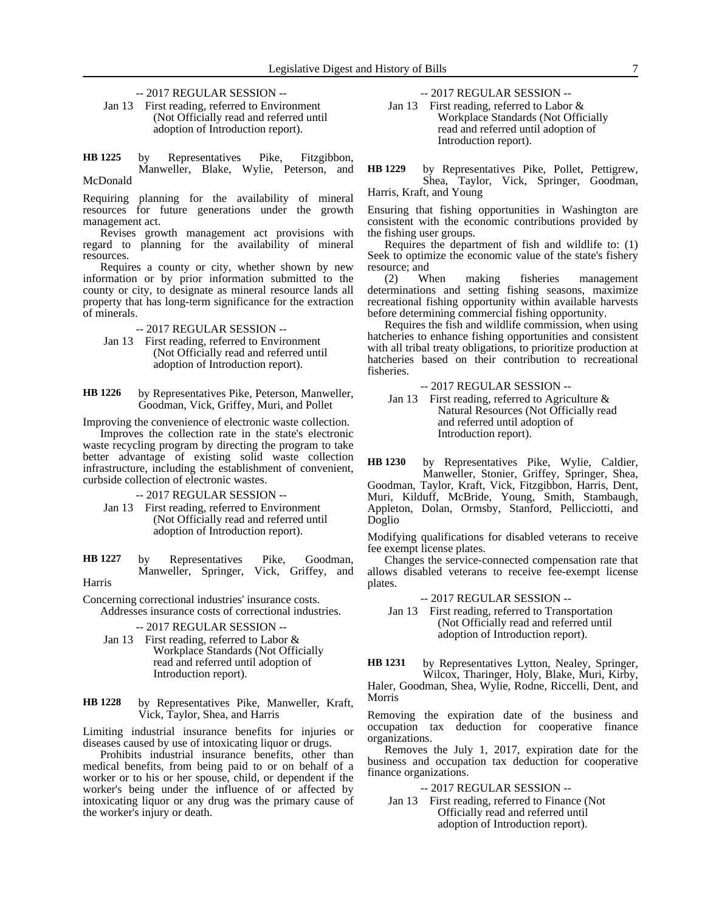-- 2017 REGULAR SESSION --

Jan 13 First reading, referred to Environment (Not Officially read and referred until adoption of Introduction report).

by Representatives Pike, Fitzgibbon, Manweller, Blake, Wylie, Peterson, and McDonald **HB 1225**

Requiring planning for the availability of mineral

resources for future generations under the growth management act. Revises growth management act provisions with

regard to planning for the availability of mineral resources.

Requires a county or city, whether shown by new information or by prior information submitted to the county or city, to designate as mineral resource lands all property that has long-term significance for the extraction of minerals.

-- 2017 REGULAR SESSION --

- Jan 13 First reading, referred to Environment (Not Officially read and referred until adoption of Introduction report).
- by Representatives Pike, Peterson, Manweller, Goodman, Vick, Griffey, Muri, and Pollet **HB 1226**

Improving the convenience of electronic waste collection.

Improves the collection rate in the state's electronic waste recycling program by directing the program to take better advantage of existing solid waste collection infrastructure, including the establishment of convenient, curbside collection of electronic wastes.

-- 2017 REGULAR SESSION --

Jan 13 First reading, referred to Environment (Not Officially read and referred until adoption of Introduction report).

by Representatives Pike, Goodman, Manweller, Springer, Vick, Griffey, and Harris **HB 1227**

Concerning correctional industries' insurance costs. Addresses insurance costs of correctional industries.

### -- 2017 REGULAR SESSION --

Jan 13 First reading, referred to Labor & Workplace Standards (Not Officially read and referred until adoption of Introduction report).

by Representatives Pike, Manweller, Kraft, Vick, Taylor, Shea, and Harris **HB 1228**

Limiting industrial insurance benefits for injuries or diseases caused by use of intoxicating liquor or drugs.

Prohibits industrial insurance benefits, other than medical benefits, from being paid to or on behalf of a worker or to his or her spouse, child, or dependent if the worker's being under the influence of or affected by intoxicating liquor or any drug was the primary cause of the worker's injury or death.

-- 2017 REGULAR SESSION --

Jan 13 First reading, referred to Labor & Workplace Standards (Not Officially read and referred until adoption of Introduction report).

by Representatives Pike, Pollet, Pettigrew, Shea, Taylor, Vick, Springer, Goodman, Harris, Kraft, and Young **HB 1229**

Ensuring that fishing opportunities in Washington are consistent with the economic contributions provided by the fishing user groups.

Requires the department of fish and wildlife to: (1) Seek to optimize the economic value of the state's fishery resource; and

(2) When making fisheries management determinations and setting fishing seasons, maximize recreational fishing opportunity within available harvests before determining commercial fishing opportunity.

Requires the fish and wildlife commission, when using hatcheries to enhance fishing opportunities and consistent with all tribal treaty obligations, to prioritize production at hatcheries based on their contribution to recreational fisheries.

-- 2017 REGULAR SESSION --

Jan 13 First reading, referred to Agriculture  $\&$ Natural Resources (Not Officially read and referred until adoption of Introduction report).

by Representatives Pike, Wylie, Caldier, Manweller, Stonier, Griffey, Springer, Shea, **HB 1230**

Goodman, Taylor, Kraft, Vick, Fitzgibbon, Harris, Dent, Muri, Kilduff, McBride, Young, Smith, Stambaugh, Appleton, Dolan, Ormsby, Stanford, Pellicciotti, and Doglio

Modifying qualifications for disabled veterans to receive fee exempt license plates.

Changes the service-connected compensation rate that allows disabled veterans to receive fee-exempt license plates.

-- 2017 REGULAR SESSION --

Jan 13 First reading, referred to Transportation (Not Officially read and referred until adoption of Introduction report).

by Representatives Lytton, Nealey, Springer, Wilcox, Tharinger, Holy, Blake, Muri, Kirby, Haler, Goodman, Shea, Wylie, Rodne, Riccelli, Dent, and Morris **HB 1231**

Removing the expiration date of the business and occupation tax deduction for cooperative finance organizations.

Removes the July 1, 2017, expiration date for the business and occupation tax deduction for cooperative finance organizations.

-- 2017 REGULAR SESSION --

Jan 13 First reading, referred to Finance (Not Officially read and referred until adoption of Introduction report).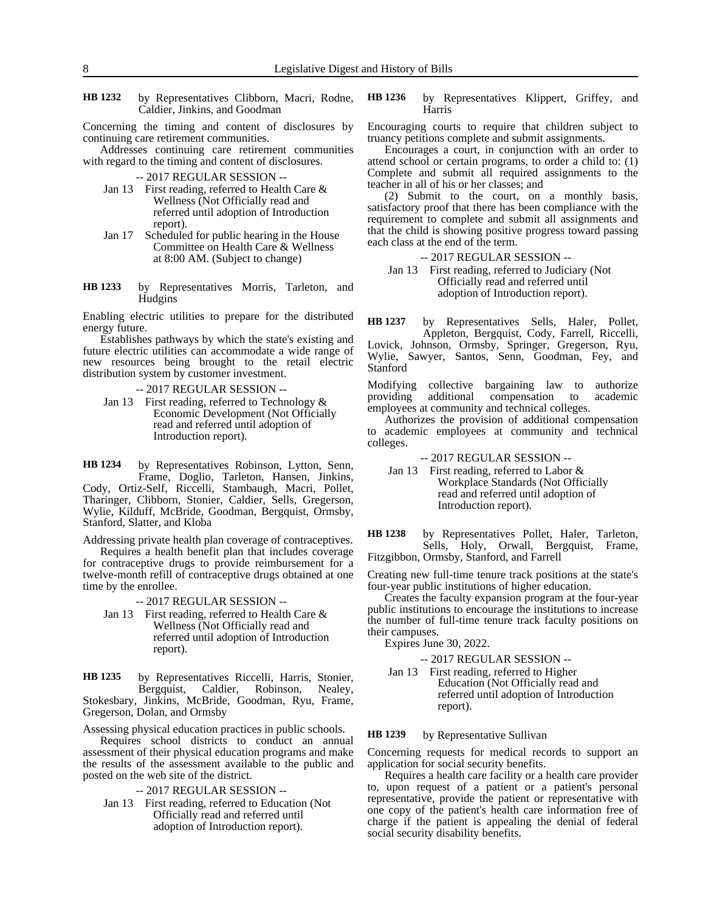by Representatives Clibborn, Macri, Rodne, Caldier, Jinkins, and Goodman **HB 1232**

Concerning the timing and content of disclosures by continuing care retirement communities.

Addresses continuing care retirement communities with regard to the timing and content of disclosures.

-- 2017 REGULAR SESSION --

- Jan 13 First reading, referred to Health Care & Wellness (Not Officially read and referred until adoption of Introduction report).
- Jan 17 Scheduled for public hearing in the House Committee on Health Care & Wellness at 8:00 AM. (Subject to change)
- by Representatives Morris, Tarleton, and **Hudgins HB 1233**

Enabling electric utilities to prepare for the distributed energy future.

Establishes pathways by which the state's existing and future electric utilities can accommodate a wide range of new resources being brought to the retail electric distribution system by customer investment.

-- 2017 REGULAR SESSION --

Jan 13 First reading, referred to Technology & Economic Development (Not Officially read and referred until adoption of Introduction report).

by Representatives Robinson, Lytton, Senn, Frame, Doglio, Tarleton, Hansen, Jinkins, Cody, Ortiz-Self, Riccelli, Stambaugh, Macri, Pollet, Tharinger, Clibborn, Stonier, Caldier, Sells, Gregerson, Wylie, Kilduff, McBride, Goodman, Bergquist, Ormsby, Stanford, Slatter, and Kloba **HB 1234**

Addressing private health plan coverage of contraceptives.

Requires a health benefit plan that includes coverage for contraceptive drugs to provide reimbursement for a twelve-month refill of contraceptive drugs obtained at one time by the enrollee.

-- 2017 REGULAR SESSION --

Jan 13 First reading, referred to Health Care & Wellness (Not Officially read and referred until adoption of Introduction report).

by Representatives Riccelli, Harris, Stonier, Bergquist, Caldier, Robinson, Nealey, Stokesbary, Jinkins, McBride, Goodman, Ryu, Frame, Gregerson, Dolan, and Ormsby **HB 1235**

Assessing physical education practices in public schools.

Requires school districts to conduct an annual assessment of their physical education programs and make the results of the assessment available to the public and posted on the web site of the district.

-- 2017 REGULAR SESSION --

Jan 13 First reading, referred to Education (Not Officially read and referred until adoption of Introduction report).

by Representatives Klippert, Griffey, and Harris **HB 1236**

Encouraging courts to require that children subject to truancy petitions complete and submit assignments.

Encourages a court, in conjunction with an order to attend school or certain programs, to order a child to: (1) Complete and submit all required assignments to the teacher in all of his or her classes; and

(2) Submit to the court, on a monthly basis, satisfactory proof that there has been compliance with the requirement to complete and submit all assignments and that the child is showing positive progress toward passing each class at the end of the term.

-- 2017 REGULAR SESSION --

Jan 13 First reading, referred to Judiciary (Not Officially read and referred until adoption of Introduction report).

by Representatives Sells, Haler, Pollet, Appleton, Bergquist, Cody, Farrell, Riccelli, Lovick, Johnson, Ormsby, Springer, Gregerson, Ryu, Wylie, Sawyer, Santos, Senn, Goodman, Fey, and Stanford **HB 1237**

Modifying collective bargaining law to authorize<br>providing additional compensation to academic providing additional compensation to employees at community and technical colleges.

Authorizes the provision of additional compensation to academic employees at community and technical colleges.

-- 2017 REGULAR SESSION --

Jan 13 First reading, referred to Labor & Workplace Standards (Not Officially read and referred until adoption of Introduction report).

by Representatives Pollet, Haler, Tarleton, Sells, Holy, Orwall, Bergquist, Frame, Fitzgibbon, Ormsby, Stanford, and Farrell **HB 1238**

Creating new full-time tenure track positions at the state's four-year public institutions of higher education.

Creates the faculty expansion program at the four-year public institutions to encourage the institutions to increase the number of full-time tenure track faculty positions on their campuses.

Expires June 30, 2022.

-- 2017 REGULAR SESSION --

Jan 13 First reading, referred to Higher Education (Not Officially read and referred until adoption of Introduction report).

by Representative Sullivan **HB 1239**

Concerning requests for medical records to support an application for social security benefits.

Requires a health care facility or a health care provider to, upon request of a patient or a patient's personal representative, provide the patient or representative with one copy of the patient's health care information free of charge if the patient is appealing the denial of federal social security disability benefits.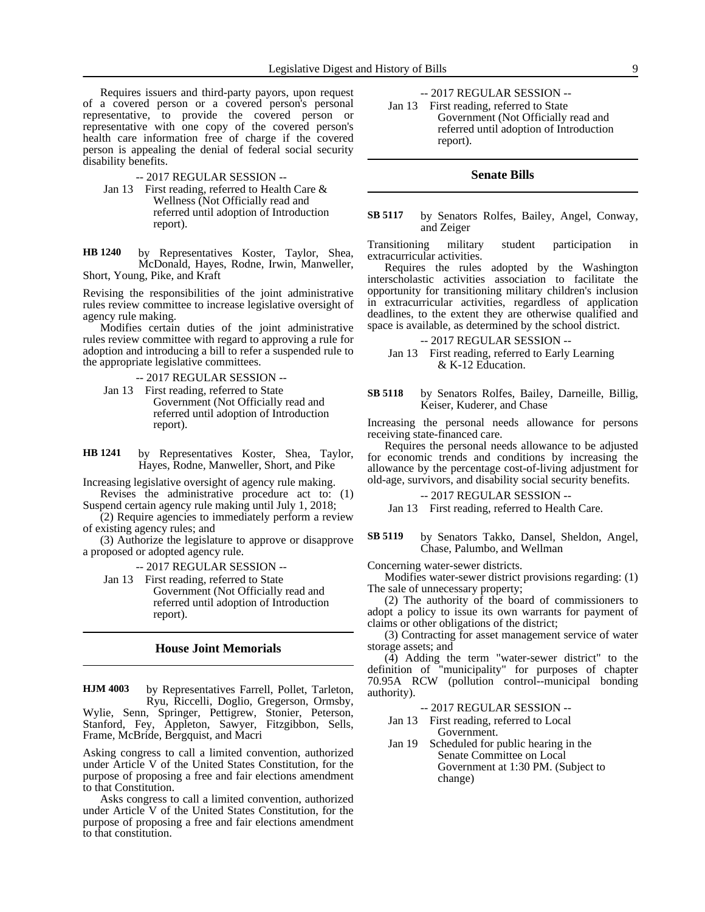Requires issuers and third-party payors, upon request of a covered person or a covered person's personal representative, to provide the covered person or representative with one copy of the covered person's health care information free of charge if the covered person is appealing the denial of federal social security disability benefits.

-- 2017 REGULAR SESSION --

Jan 13 First reading, referred to Health Care & Wellness (Not Officially read and referred until adoption of Introduction report).

by Representatives Koster, Taylor, Shea, McDonald, Hayes, Rodne, Irwin, Manweller, Short, Young, Pike, and Kraft **HB 1240**

Revising the responsibilities of the joint administrative rules review committee to increase legislative oversight of agency rule making.

Modifies certain duties of the joint administrative rules review committee with regard to approving a rule for adoption and introducing a bill to refer a suspended rule to the appropriate legislative committees.

-- 2017 REGULAR SESSION --

Jan 13 First reading, referred to State Government (Not Officially read and referred until adoption of Introduction report).

by Representatives Koster, Shea, Taylor, Hayes, Rodne, Manweller, Short, and Pike **HB 1241**

Increasing legislative oversight of agency rule making.

Revises the administrative procedure act to: (1) Suspend certain agency rule making until July 1, 2018;

(2) Require agencies to immediately perform a review of existing agency rules; and

(3) Authorize the legislature to approve or disapprove a proposed or adopted agency rule.

-- 2017 REGULAR SESSION --

Jan 13 First reading, referred to State Government (Not Officially read and referred until adoption of Introduction report).

# **House Joint Memorials**

by Representatives Farrell, Pollet, Tarleton, Ryu, Riccelli, Doglio, Gregerson, Ormsby, Wylie, Senn, Springer, Pettigrew, Stonier, Peterson, Stanford, Fey, Appleton, Sawyer, Fitzgibbon, Sells, Frame, McBride, Bergquist, and Macri **HJM 4003**

Asking congress to call a limited convention, authorized under Article V of the United States Constitution, for the purpose of proposing a free and fair elections amendment to that Constitution.

Asks congress to call a limited convention, authorized under Article V of the United States Constitution, for the purpose of proposing a free and fair elections amendment to that constitution.

-- 2017 REGULAR SESSION --

Jan 13 First reading, referred to State Government (Not Officially read and referred until adoption of Introduction report).

# **Senate Bills**

### by Senators Rolfes, Bailey, Angel, Conway, and Zeiger **SB 5117**

Transitioning military student participation in extracurricular activities.

Requires the rules adopted by the Washington interscholastic activities association to facilitate the opportunity for transitioning military children's inclusion in extracurricular activities, regardless of application deadlines, to the extent they are otherwise qualified and space is available, as determined by the school district.

-- 2017 REGULAR SESSION --

Jan 13 First reading, referred to Early Learning & K-12 Education.

by Senators Rolfes, Bailey, Darneille, Billig, Keiser, Kuderer, and Chase **SB 5118**

Increasing the personal needs allowance for persons receiving state-financed care.

Requires the personal needs allowance to be adjusted for economic trends and conditions by increasing the allowance by the percentage cost-of-living adjustment for old-age, survivors, and disability social security benefits.

-- 2017 REGULAR SESSION --

Jan 13 First reading, referred to Health Care.

by Senators Takko, Dansel, Sheldon, Angel, Chase, Palumbo, and Wellman **SB 5119**

Concerning water-sewer districts.

Modifies water-sewer district provisions regarding: (1) The sale of unnecessary property;

(2) The authority of the board of commissioners to adopt a policy to issue its own warrants for payment of claims or other obligations of the district;

(3) Contracting for asset management service of water storage assets; and

(4) Adding the term "water-sewer district" to the definition of "municipality" for purposes of chapter 70.95A RCW (pollution control--municipal bonding authority).

-- 2017 REGULAR SESSION --

- Jan 13 First reading, referred to Local Government.
- Jan 19 Scheduled for public hearing in the Senate Committee on Local Government at 1:30 PM. (Subject to change)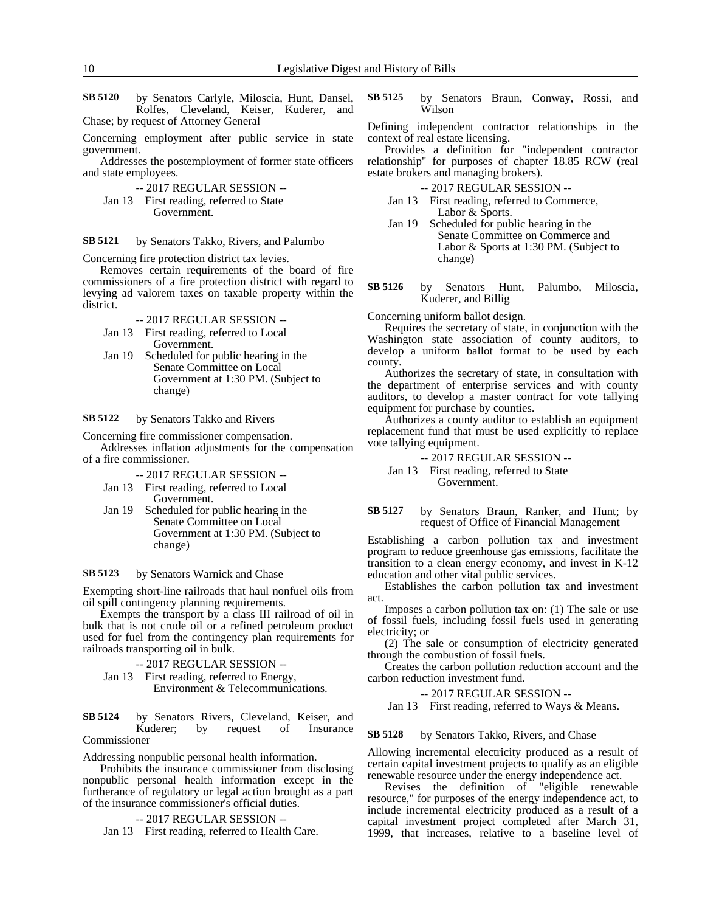by Senators Carlyle, Miloscia, Hunt, Dansel, Rolfes, Cleveland, Keiser, Kuderer, and Chase; by request of Attorney General **SB 5120**

Concerning employment after public service in state government.

Addresses the postemployment of former state officers and state employees.

- -- 2017 REGULAR SESSION --
- Jan 13 First reading, referred to State Government.

by Senators Takko, Rivers, and Palumbo **SB 5121**

Concerning fire protection district tax levies.

Removes certain requirements of the board of fire commissioners of a fire protection district with regard to levying ad valorem taxes on taxable property within the district.

- -- 2017 REGULAR SESSION --
- Jan 13 First reading, referred to Local Government.
- Jan 19 Scheduled for public hearing in the Senate Committee on Local Government at 1:30 PM. (Subject to change)

by Senators Takko and Rivers **SB 5122**

Concerning fire commissioner compensation.

Addresses inflation adjustments for the compensation of a fire commissioner.

-- 2017 REGULAR SESSION --

- Jan 13 First reading, referred to Local Government.
- Jan 19 Scheduled for public hearing in the Senate Committee on Local Government at 1:30 PM. (Subject to change)

#### by Senators Warnick and Chase **SB 5123**

Exempting short-line railroads that haul nonfuel oils from oil spill contingency planning requirements.

Exempts the transport by a class III railroad of oil in bulk that is not crude oil or a refined petroleum product used for fuel from the contingency plan requirements for railroads transporting oil in bulk.

-- 2017 REGULAR SESSION --

Jan 13 First reading, referred to Energy, Environment & Telecommunications.

by Senators Rivers, Cleveland, Keiser, and Kuderer; by request of Insurance Commissioner **SB 5124**

Addressing nonpublic personal health information.

Prohibits the insurance commissioner from disclosing nonpublic personal health information except in the furtherance of regulatory or legal action brought as a part of the insurance commissioner's official duties.

-- 2017 REGULAR SESSION --

Jan 13 First reading, referred to Health Care.

by Senators Braun, Conway, Rossi, and Wilson **SB 5125**

Defining independent contractor relationships in the context of real estate licensing.

Provides a definition for "independent contractor relationship" for purposes of chapter 18.85 RCW (real estate brokers and managing brokers).

-- 2017 REGULAR SESSION --

- Jan 13 First reading, referred to Commerce, Labor & Sports.
- Jan 19 Scheduled for public hearing in the Senate Committee on Commerce and Labor & Sports at 1:30 PM. (Subject to change)
- by Senators Hunt, Palumbo, Miloscia, Kuderer, and Billig **SB 5126**

Concerning uniform ballot design.

Requires the secretary of state, in conjunction with the Washington state association of county auditors, to develop a uniform ballot format to be used by each county.

Authorizes the secretary of state, in consultation with the department of enterprise services and with county auditors, to develop a master contract for vote tallying equipment for purchase by counties.

Authorizes a county auditor to establish an equipment replacement fund that must be used explicitly to replace vote tallying equipment.

-- 2017 REGULAR SESSION --

# Jan 13 First reading, referred to State Government.

by Senators Braun, Ranker, and Hunt; by request of Office of Financial Management **SB 5127**

Establishing a carbon pollution tax and investment program to reduce greenhouse gas emissions, facilitate the transition to a clean energy economy, and invest in K-12 education and other vital public services.

Establishes the carbon pollution tax and investment act.

Imposes a carbon pollution tax on: (1) The sale or use of fossil fuels, including fossil fuels used in generating electricity; or

(2) The sale or consumption of electricity generated through the combustion of fossil fuels.

Creates the carbon pollution reduction account and the carbon reduction investment fund.

-- 2017 REGULAR SESSION --

Jan 13 First reading, referred to Ways & Means.

### by Senators Takko, Rivers, and Chase **SB 5128**

Allowing incremental electricity produced as a result of certain capital investment projects to qualify as an eligible renewable resource under the energy independence act.

Revises the definition of "eligible renewable resource," for purposes of the energy independence act, to include incremental electricity produced as a result of a capital investment project completed after March 31, 1999, that increases, relative to a baseline level of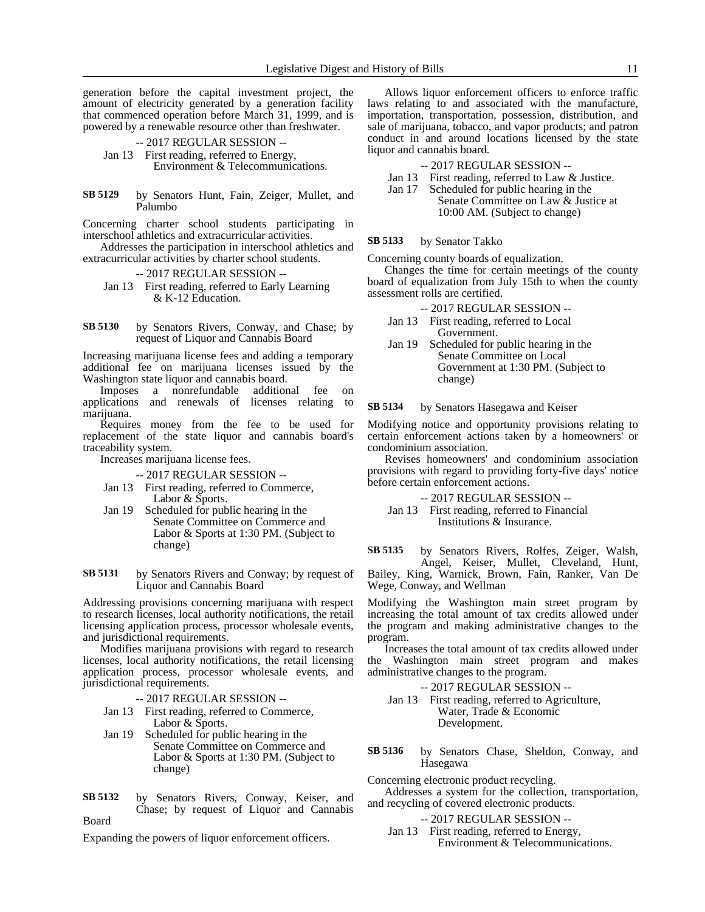generation before the capital investment project, the amount of electricity generated by a generation facility that commenced operation before March 31, 1999, and is powered by a renewable resource other than freshwater.

-- 2017 REGULAR SESSION --

Jan 13 First reading, referred to Energy, Environment & Telecommunications.

by Senators Hunt, Fain, Zeiger, Mullet, and Palumbo **SB 5129**

Concerning charter school students participating in interschool athletics and extracurricular activities.

Addresses the participation in interschool athletics and extracurricular activities by charter school students.

- -- 2017 REGULAR SESSION --
- Jan 13 First reading, referred to Early Learning & K-12 Education.

by Senators Rivers, Conway, and Chase; by request of Liquor and Cannabis Board **SB 5130**

Increasing marijuana license fees and adding a temporary additional fee on marijuana licenses issued by the Washington state liquor and cannabis board.

Imposes a nonrefundable additional fee on applications and renewals of licenses relating to marijuana.

Requires money from the fee to be used for replacement of the state liquor and cannabis board's traceability system.

Increases marijuana license fees.

### -- 2017 REGULAR SESSION --

- Jan 13 First reading, referred to Commerce, Labor & Sports.
- Jan 19 Scheduled for public hearing in the Senate Committee on Commerce and Labor & Sports at 1:30 PM. (Subject to change)

by Senators Rivers and Conway; by request of Liquor and Cannabis Board **SB 5131**

Addressing provisions concerning marijuana with respect to research licenses, local authority notifications, the retail licensing application process, processor wholesale events, and jurisdictional requirements.

Modifies marijuana provisions with regard to research licenses, local authority notifications, the retail licensing application process, processor wholesale events, and jurisdictional requirements.

- -- 2017 REGULAR SESSION --
- Jan 13 First reading, referred to Commerce, Labor & Sports.
- Jan 19 Scheduled for public hearing in the Senate Committee on Commerce and Labor & Sports at 1:30 PM. (Subject to change)
- by Senators Rivers, Conway, Keiser, and Chase; by request of Liquor and Cannabis Board **SB 5132**

Expanding the powers of liquor enforcement officers.

Allows liquor enforcement officers to enforce traffic laws relating to and associated with the manufacture, importation, transportation, possession, distribution, and sale of marijuana, tobacco, and vapor products; and patron conduct in and around locations licensed by the state liquor and cannabis board.

- -- 2017 REGULAR SESSION --
- Jan 13 First reading, referred to Law & Justice.
- Jan 17 Scheduled for public hearing in the Senate Committee on Law & Justice at 10:00 AM. (Subject to change)

### by Senator Takko **SB 5133**

Concerning county boards of equalization.

Changes the time for certain meetings of the county board of equalization from July 15th to when the county assessment rolls are certified.

-- 2017 REGULAR SESSION --

- Jan 13 First reading, referred to Local Government.
- Jan 19 Scheduled for public hearing in the Senate Committee on Local Government at 1:30 PM. (Subject to change)

#### by Senators Hasegawa and Keiser **SB 5134**

Modifying notice and opportunity provisions relating to certain enforcement actions taken by a homeowners' or condominium association.

Revises homeowners' and condominium association provisions with regard to providing forty-five days' notice before certain enforcement actions.

-- 2017 REGULAR SESSION --

Jan 13 First reading, referred to Financial Institutions & Insurance.

by Senators Rivers, Rolfes, Zeiger, Walsh, Angel, Keiser, Mullet, Cleveland, Hunt, **SB 5135**

Bailey, King, Warnick, Brown, Fain, Ranker, Van De Wege, Conway, and Wellman

Modifying the Washington main street program by increasing the total amount of tax credits allowed under the program and making administrative changes to the program.

Increases the total amount of tax credits allowed under the Washington main street program and makes administrative changes to the program.

- -- 2017 REGULAR SESSION --
- Jan 13 First reading, referred to Agriculture, Water, Trade & Economic Development.
- by Senators Chase, Sheldon, Conway, and Hasegawa **SB 5136**

Concerning electronic product recycling. Addresses a system for the collection, transportation,

and recycling of covered electronic products.

- -- 2017 REGULAR SESSION --
- Jan 13 First reading, referred to Energy, Environment & Telecommunications.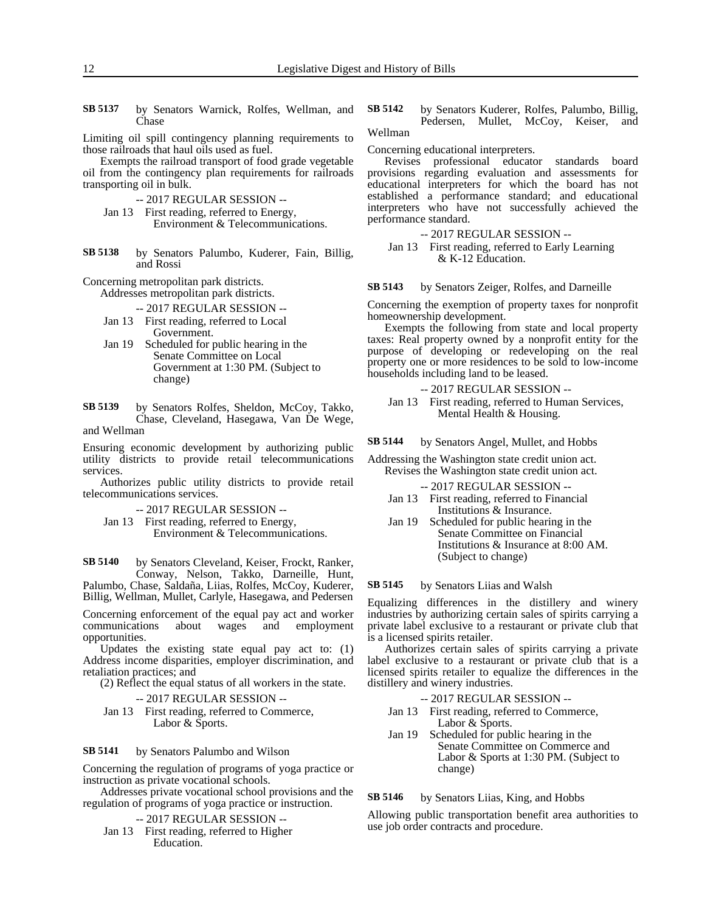by Senators Warnick, Rolfes, Wellman, and Chase **SB 5137**

Limiting oil spill contingency planning requirements to those railroads that haul oils used as fuel.

Exempts the railroad transport of food grade vegetable oil from the contingency plan requirements for railroads transporting oil in bulk.

- -- 2017 REGULAR SESSION --
- Jan 13 First reading, referred to Energy, Environment & Telecommunications.
- by Senators Palumbo, Kuderer, Fain, Billig, and Rossi **SB 5138**

Concerning metropolitan park districts.

Addresses metropolitan park districts.

-- 2017 REGULAR SESSION --

- Jan 13 First reading, referred to Local Government.
- Jan 19 Scheduled for public hearing in the Senate Committee on Local Government at 1:30 PM. (Subject to change)

by Senators Rolfes, Sheldon, McCoy, Takko, Chase, Cleveland, Hasegawa, Van De Wege, and Wellman **SB 5139**

Ensuring economic development by authorizing public utility districts to provide retail telecommunications services.

Authorizes public utility districts to provide retail telecommunications services.

- -- 2017 REGULAR SESSION --
- Jan 13 First reading, referred to Energy, Environment & Telecommunications.

by Senators Cleveland, Keiser, Frockt, Ranker, Conway, Nelson, Takko, Darneille, Hunt, Palumbo, Chase, Saldaña, Liias, Rolfes, McCoy, Kuderer, Billig, Wellman, Mullet, Carlyle, Hasegawa, and Pedersen **SB 5140**

Concerning enforcement of the equal pay act and worker<br>communications about wages and employment communications about wages and employment opportunities.

Updates the existing state equal pay act to: (1) Address income disparities, employer discrimination, and retaliation practices; and

(2) Reflect the equal status of all workers in the state.

- -- 2017 REGULAR SESSION --
- Jan 13 First reading, referred to Commerce, Labor & Sports.

by Senators Palumbo and Wilson **SB 5141**

Concerning the regulation of programs of yoga practice or instruction as private vocational schools.

Addresses private vocational school provisions and the regulation of programs of yoga practice or instruction.

-- 2017 REGULAR SESSION --

Jan 13 First reading, referred to Higher Education.

by Senators Kuderer, Rolfes, Palumbo, Billig, Pedersen, Mullet, McCoy, Keiser, and Wellman **SB 5142**

Concerning educational interpreters.

Revises professional educator standards board provisions regarding evaluation and assessments for educational interpreters for which the board has not established a performance standard; and educational interpreters who have not successfully achieved the performance standard.

-- 2017 REGULAR SESSION --

Jan 13 First reading, referred to Early Learning & K-12 Education.

by Senators Zeiger, Rolfes, and Darneille **SB 5143**

Concerning the exemption of property taxes for nonprofit homeownership development.

Exempts the following from state and local property taxes: Real property owned by a nonprofit entity for the purpose of developing or redeveloping on the real property one or more residences to be sold to low-income households including land to be leased.

-- 2017 REGULAR SESSION --

Jan 13 First reading, referred to Human Services, Mental Health & Housing.

by Senators Angel, Mullet, and Hobbs **SB 5144**

Addressing the Washington state credit union act. Revises the Washington state credit union act.

-- 2017 REGULAR SESSION --

- Jan 13 First reading, referred to Financial Institutions & Insurance.
- Jan 19 Scheduled for public hearing in the Senate Committee on Financial Institutions & Insurance at 8:00 AM. (Subject to change)

by Senators Liias and Walsh **SB 5145**

Equalizing differences in the distillery and winery industries by authorizing certain sales of spirits carrying a private label exclusive to a restaurant or private club that is a licensed spirits retailer.

Authorizes certain sales of spirits carrying a private label exclusive to a restaurant or private club that is a licensed spirits retailer to equalize the differences in the distillery and winery industries.

- -- 2017 REGULAR SESSION --
- Jan 13 First reading, referred to Commerce, Labor & Sports.
- Jan 19 Scheduled for public hearing in the Senate Committee on Commerce and Labor & Sports at 1:30 PM. (Subject to change)

by Senators Liias, King, and Hobbs **SB 5146**

Allowing public transportation benefit area authorities to use job order contracts and procedure.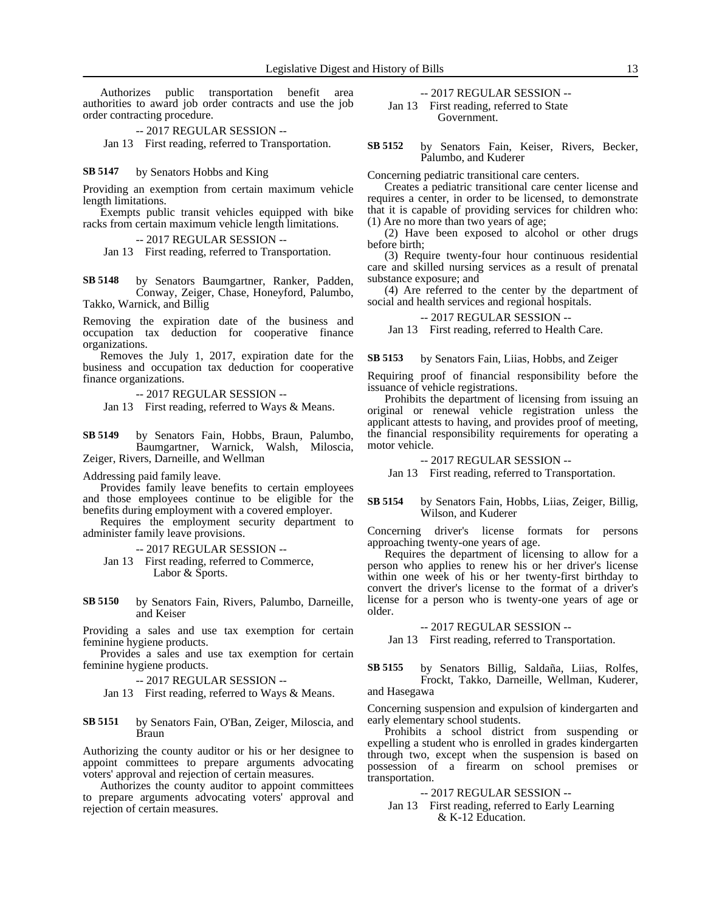Authorizes public transportation benefit area authorities to award job order contracts and use the job order contracting procedure.

-- 2017 REGULAR SESSION --

Jan 13 First reading, referred to Transportation.

#### by Senators Hobbs and King **SB 5147**

Providing an exemption from certain maximum vehicle length limitations.

Exempts public transit vehicles equipped with bike racks from certain maximum vehicle length limitations.

### -- 2017 REGULAR SESSION --

Jan 13 First reading, referred to Transportation.

by Senators Baumgartner, Ranker, Padden, Conway, Zeiger, Chase, Honeyford, Palumbo, Takko, Warnick, and Billig **SB 5148**

Removing the expiration date of the business and occupation tax deduction for cooperative finance organizations.

Removes the July 1, 2017, expiration date for the business and occupation tax deduction for cooperative finance organizations.

-- 2017 REGULAR SESSION --

Jan 13 First reading, referred to Ways & Means.

by Senators Fain, Hobbs, Braun, Palumbo, Baumgartner, Warnick, Walsh, Miloscia, Zeiger, Rivers, Darneille, and Wellman **SB 5149**

Addressing paid family leave.

Provides family leave benefits to certain employees and those employees continue to be eligible for the benefits during employment with a covered employer.

Requires the employment security department to administer family leave provisions.

-- 2017 REGULAR SESSION --

- Jan 13 First reading, referred to Commerce, Labor & Sports.
- by Senators Fain, Rivers, Palumbo, Darneille, and Keiser **SB 5150**

Providing a sales and use tax exemption for certain feminine hygiene products.

Provides a sales and use tax exemption for certain feminine hygiene products.

-- 2017 REGULAR SESSION --

Jan 13 First reading, referred to Ways & Means.

by Senators Fain, O'Ban, Zeiger, Miloscia, and Braun **SB 5151**

Authorizing the county auditor or his or her designee to appoint committees to prepare arguments advocating voters' approval and rejection of certain measures.

Authorizes the county auditor to appoint committees to prepare arguments advocating voters' approval and rejection of certain measures.

# -- 2017 REGULAR SESSION -- Jan 13 First reading, referred to State

Government.

by Senators Fain, Keiser, Rivers, Becker, Palumbo, and Kuderer **SB 5152**

Concerning pediatric transitional care centers.

Creates a pediatric transitional care center license and requires a center, in order to be licensed, to demonstrate that it is capable of providing services for children who: (1) Are no more than two years of age;

(2) Have been exposed to alcohol or other drugs before birth;

(3) Require twenty-four hour continuous residential care and skilled nursing services as a result of prenatal substance exposure; and

(4) Are referred to the center by the department of social and health services and regional hospitals.

-- 2017 REGULAR SESSION --

Jan 13 First reading, referred to Health Care.

by Senators Fain, Liias, Hobbs, and Zeiger **SB 5153**

Requiring proof of financial responsibility before the issuance of vehicle registrations.

Prohibits the department of licensing from issuing an original or renewal vehicle registration unless the applicant attests to having, and provides proof of meeting, the financial responsibility requirements for operating a motor vehicle.

-- 2017 REGULAR SESSION --

Jan 13 First reading, referred to Transportation.

### by Senators Fain, Hobbs, Liias, Zeiger, Billig, Wilson, and Kuderer **SB 5154**

Concerning driver's license formats for persons approaching twenty-one years of age.

Requires the department of licensing to allow for a person who applies to renew his or her driver's license within one week of his or her twenty-first birthday to convert the driver's license to the format of a driver's license for a person who is twenty-one years of age or older.

-- 2017 REGULAR SESSION --

Jan 13 First reading, referred to Transportation.

by Senators Billig, Saldaña, Liias, Rolfes, Frockt, Takko, Darneille, Wellman, Kuderer, and Hasegawa **SB 5155**

Concerning suspension and expulsion of kindergarten and early elementary school students.

Prohibits a school district from suspending or expelling a student who is enrolled in grades kindergarten through two, except when the suspension is based on possession of a firearm on school premises or transportation.

-- 2017 REGULAR SESSION --

Jan 13 First reading, referred to Early Learning & K-12 Education.